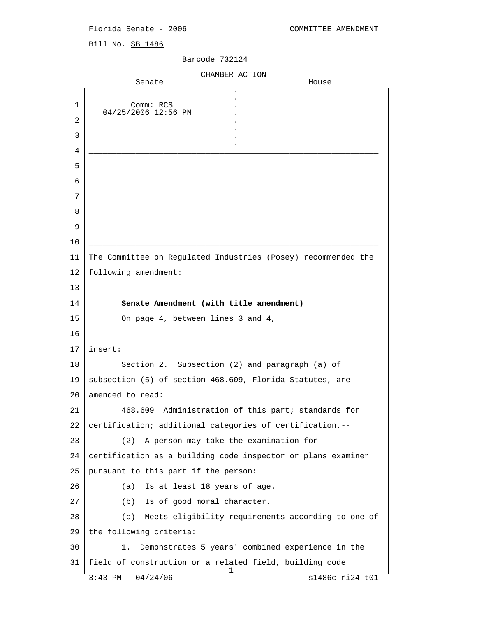Bill No. SB 1486

| CHAMBER ACTION |                                                               |                                                    |
|----------------|---------------------------------------------------------------|----------------------------------------------------|
|                | Senate                                                        | House                                              |
| 1              | Comm: RCS                                                     |                                                    |
| 2              | 04/25/2006 12:56 PM                                           |                                                    |
| 3              |                                                               |                                                    |
| 4              |                                                               |                                                    |
| 5              |                                                               |                                                    |
| 6              |                                                               |                                                    |
| 7              |                                                               |                                                    |
| 8              |                                                               |                                                    |
| 9              |                                                               |                                                    |
| 10             |                                                               |                                                    |
| 11             | The Committee on Regulated Industries (Posey) recommended the |                                                    |
| 12             | following amendment:                                          |                                                    |
| 13             |                                                               |                                                    |
| 14             | Senate Amendment (with title amendment)                       |                                                    |
| 15             | On page 4, between lines 3 and 4,                             |                                                    |
| 16             |                                                               |                                                    |
| 17             | insert:                                                       |                                                    |
| 18             | Section 2. Subsection (2) and paragraph (a) of                |                                                    |
| 19             | subsection (5) of section 468.609, Florida Statutes, are      |                                                    |
| 20             | amended to read:                                              |                                                    |
| 21             | 468.609 Administration of this part; standards for            |                                                    |
| 22             | certification; additional categories of certification.--      |                                                    |
| 23             | A person may take the examination for<br>(2)                  |                                                    |
| 24             | certification as a building code inspector or plans examiner  |                                                    |
| 25             | pursuant to this part if the person:                          |                                                    |
| 26             | Is at least 18 years of age.<br>(a)                           |                                                    |
| 27             | Is of good moral character.<br>(b)                            |                                                    |
| 28             | (c)                                                           | Meets eligibility requirements according to one of |
| 29             | the following criteria:                                       |                                                    |
| 30             | 1.                                                            | Demonstrates 5 years' combined experience in the   |
| 31             | field of construction or a related field, building code<br>ı  |                                                    |
|                | 04/24/06<br>$3:43$ PM                                         | s1486c-ri24-t01                                    |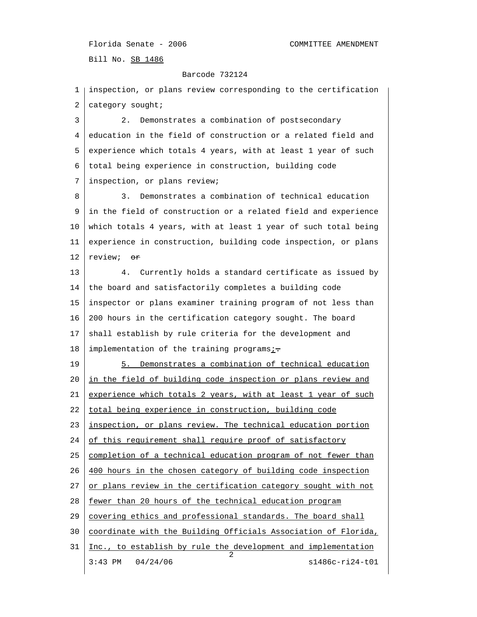Barcode 732124

 1 inspection, or plans review corresponding to the certification 2 category sought; 3 2. Demonstrates a combination of postsecondary 4 education in the field of construction or a related field and 5 experience which totals 4 years, with at least 1 year of such 6 total being experience in construction, building code 7 inspection, or plans review; 8 3. Demonstrates a combination of technical education 9 in the field of construction or a related field and experience 10 which totals 4 years, with at least 1 year of such total being 11 experience in construction, building code inspection, or plans 12  $review:$   $\sigma$ 13 4. Currently holds a standard certificate as issued by 14 the board and satisfactorily completes a building code 15 inspector or plans examiner training program of not less than 16 200 hours in the certification category sought. The board 17 shall establish by rule criteria for the development and 18 implementation of the training programs $\frac{i}{r}$ . 19 5. Demonstrates a combination of technical education 20 in the field of building code inspection or plans review and 21 experience which totals 2 years, with at least 1 year of such 22 | total being experience in construction, building code 23 inspection, or plans review. The technical education portion  $24$  of this requirement shall require proof of satisfactory 25 completion of a technical education program of not fewer than 26 400 hours in the chosen category of building code inspection  $27$  or plans review in the certification category sought with not 28 fewer than 20 hours of the technical education program 29 covering ethics and professional standards. The board shall 30 coordinate with the Building Officials Association of Florida, 31 Inc., to establish by rule the development and implementation 2 3:43 PM 04/24/06 s1486c-ri24-t01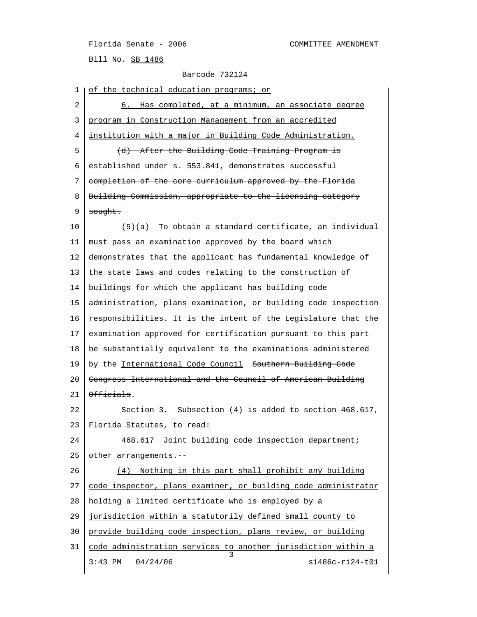Barcode 732124

1 | of the technical education programs; or 2 6. Has completed, at a minimum, an associate degree 3 program in Construction Management from an accredited 4 institution with a major in Building Code Administration. 5 (d) After the Building Code Training Program is 6 established under s.  $553.841$ , demonstrates successful 7 completion of the core curriculum approved by the Florida 8 | Building Commission, appropriate to the licensing category 9 sought. 10 (5)(a) To obtain a standard certificate, an individual 11 must pass an examination approved by the board which 12 demonstrates that the applicant has fundamental knowledge of 13 the state laws and codes relating to the construction of 14 buildings for which the applicant has building code 15 administration, plans examination, or building code inspection 16 responsibilities. It is the intent of the Legislature that the 17 examination approved for certification pursuant to this part 18 be substantially equivalent to the examinations administered 19 by the International Code Council Southern Building Code 20 Congress International and the Council of American Building 21  $\theta$ fficials. 22 Section 3. Subsection (4) is added to section 468.617, 23 Florida Statutes, to read: 24 468.617 Joint building code inspection department; 25 other arrangements.-- 26 (4) Nothing in this part shall prohibit any building 27 code inspector, plans examiner, or building code administrator 28 holding a limited certificate who is employed by a 29 jurisdiction within a statutorily defined small county to 30 provide building code inspection, plans review, or building 31 code administration services to another jurisdiction within a 3 3:43 PM 04/24/06 s1486c-ri24-t01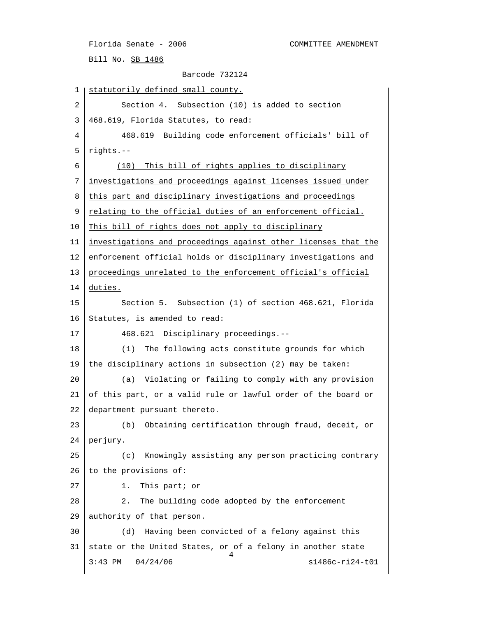Bill No. SB 1486

```
 Barcode 732124
```
1 | statutorily defined small county. 2 Section 4. Subsection (10) is added to section 3 468.619, Florida Statutes, to read: 4 468.619 Building code enforcement officials' bill of 5 rights.-- 6 (10) This bill of rights applies to disciplinary 7 investigations and proceedings against licenses issued under 8 this part and disciplinary investigations and proceedings 9 relating to the official duties of an enforcement official. 10 This bill of rights does not apply to disciplinary 11 investigations and proceedings against other licenses that the 12 enforcement official holds or disciplinary investigations and 13 proceedings unrelated to the enforcement official's official 14 duties. 15 Section 5. Subsection (1) of section 468.621, Florida 16 Statutes, is amended to read: 17 468.621 Disciplinary proceedings.-- 18 (1) The following acts constitute grounds for which 19 the disciplinary actions in subsection (2) may be taken: 20 (a) Violating or failing to comply with any provision 21 of this part, or a valid rule or lawful order of the board or 22 department pursuant thereto. 23 (b) Obtaining certification through fraud, deceit, or 24 perjury. 25 (c) Knowingly assisting any person practicing contrary 26 to the provisions of: 27 1. This part; or 28 2. The building code adopted by the enforcement 29 authority of that person. 30 (d) Having been convicted of a felony against this 31 state or the United States, or of a felony in another state 4 3:43 PM 04/24/06 s1486c-ri24-t01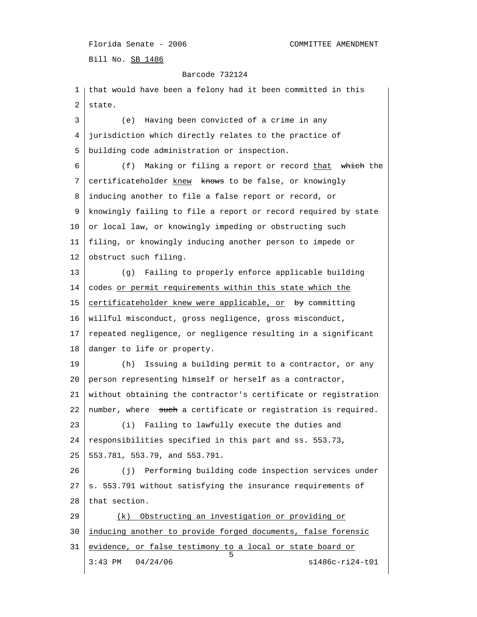Bill No. SB 1486

#### Barcode 732124

 1 that would have been a felony had it been committed in this 2 state. 3 (e) Having been convicted of a crime in any 4 jurisdiction which directly relates to the practice of 5 building code administration or inspection. 6 (f) Making or filing a report or record that which the 7 certificateholder knew knows to be false, or knowingly 8 inducing another to file a false report or record, or 9 knowingly failing to file a report or record required by state 10 or local law, or knowingly impeding or obstructing such 11 filing, or knowingly inducing another person to impede or 12 obstruct such filing. 13 (g) Failing to properly enforce applicable building 14 codes or permit requirements within this state which the 15 certificateholder knew were applicable, or by committing 16 willful misconduct, gross negligence, gross misconduct, 17 repeated negligence, or negligence resulting in a significant 18 danger to life or property. 19 (h) Issuing a building permit to a contractor, or any 20 person representing himself or herself as a contractor, 21 without obtaining the contractor's certificate or registration 22 | number, where  $\frac{1}{\sqrt{2}}$  such a certificate or registration is required. 23 (i) Failing to lawfully execute the duties and 24 responsibilities specified in this part and ss. 553.73, 25 553.781, 553.79, and 553.791. 26 (j) Performing building code inspection services under  $27$  s. 553.791 without satisfying the insurance requirements of 28 that section. 29 (k) Obstructing an investigation or providing or 30 inducing another to provide forged documents, false forensic 31 evidence, or false testimony to a local or state board or  $\sim$  5 3:43 PM 04/24/06 s1486c-ri24-t01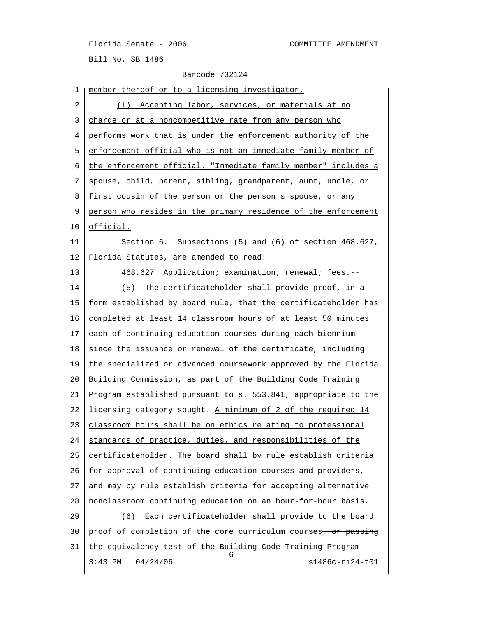| 1  | member thereof or to a licensing investigator.                 |
|----|----------------------------------------------------------------|
| 2  | (1) Accepting labor, services, or materials at no              |
| 3  | charge or at a noncompetitive rate from any person who         |
| 4  | performs work that is under the enforcement authority of the   |
| 5  | enforcement official who is not an immediate family member of  |
| 6  | the enforcement official. "Immediate family member" includes a |
| 7  | spouse, child, parent, sibling, grandparent, aunt, uncle, or   |
| 8  | first cousin of the person or the person's spouse, or any      |
| 9  | person who resides in the primary residence of the enforcement |
| 10 | <u>official.</u>                                               |
| 11 | Section 6. Subsections (5) and (6) of section 468.627,         |
| 12 | Florida Statutes, are amended to read:                         |
| 13 | 468.627 Application; examination; renewal; fees.--             |
| 14 | The certificateholder shall provide proof, in a<br>(5)         |
| 15 | form established by board rule, that the certificateholder has |
| 16 | completed at least 14 classroom hours of at least 50 minutes   |
| 17 | each of continuing education courses during each biennium      |
| 18 | since the issuance or renewal of the certificate, including    |
| 19 | the specialized or advanced coursework approved by the Florida |
| 20 | Building Commission, as part of the Building Code Training     |
| 21 | Program established pursuant to s. 553.841, appropriate to the |
| 22 | licensing category sought. A minimum of 2 of the required 14   |
| 23 | classroom hours shall be on ethics relating to professional    |
| 24 | standards of practice, duties, and responsibilities of the     |
| 25 | certificateholder. The board shall by rule establish criteria  |
| 26 | for approval of continuing education courses and providers,    |
| 27 | and may by rule establish criteria for accepting alternative   |
| 28 | nonclassroom continuing education on an hour-for-hour basis.   |
| 29 | Each certificateholder shall provide to the board<br>(6)       |
| 30 | proof of completion of the core curriculum courses, or passing |
| 31 | the equivalency test of the Building Code Training Program     |
|    | 6<br>04/24/06<br>s1486c-ri24-t01<br>$3:43$ PM                  |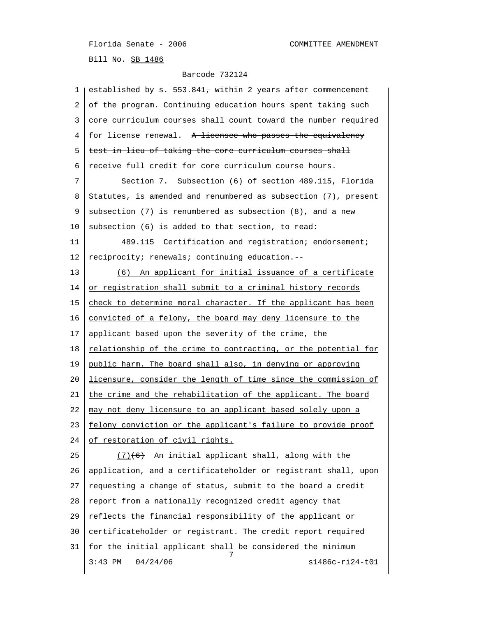| 1  | established by s. 553.8417 within 2 years after commencement   |
|----|----------------------------------------------------------------|
| 2  | of the program. Continuing education hours spent taking such   |
| 3  | core curriculum courses shall count toward the number required |
| 4  | for license renewal. A licensee who passes the equivalency     |
| 5  | test in lieu of taking the core curriculum courses shall       |
| 6  | receive full credit for core curriculum course hours.          |
| 7  | Section 7. Subsection (6) of section 489.115, Florida          |
| 8  | Statutes, is amended and renumbered as subsection (7), present |
| 9  | subsection (7) is renumbered as subsection (8), and a new      |
| 10 | subsection (6) is added to that section, to read:              |
| 11 | 489.115 Certification and registration; endorsement;           |
| 12 | reciprocity; renewals; continuing education.--                 |
| 13 | (6) An applicant for initial issuance of a certificate         |
| 14 | or registration shall submit to a criminal history records     |
| 15 | check to determine moral character. If the applicant has been  |
| 16 | convicted of a felony, the board may deny licensure to the     |
| 17 | applicant based upon the severity of the crime, the            |
| 18 | relationship of the crime to contracting, or the potential for |
| 19 | public harm. The board shall also, in denying or approving     |
| 20 | licensure, consider the length of time since the commission of |
| 21 | the crime and the rehabilitation of the applicant. The board   |
| 22 | may not deny licensure to an applicant based solely upon a     |
| 23 | felony conviction or the applicant's failure to provide proof  |
| 24 | of restoration of civil rights.                                |
| 25 | $(7)$ (6) An initial applicant shall, along with the           |
| 26 | application, and a certificateholder or registrant shall, upon |
| 27 | requesting a change of status, submit to the board a credit    |
| 28 | report from a nationally recognized credit agency that         |
| 29 | reflects the financial responsibility of the applicant or      |
| 30 | certificateholder or registrant. The credit report required    |
| 31 | for the initial applicant shall be considered the minimum<br>7 |
|    | 04/24/06<br>s1486c-ri24-t01<br>$3:43$ PM                       |
|    |                                                                |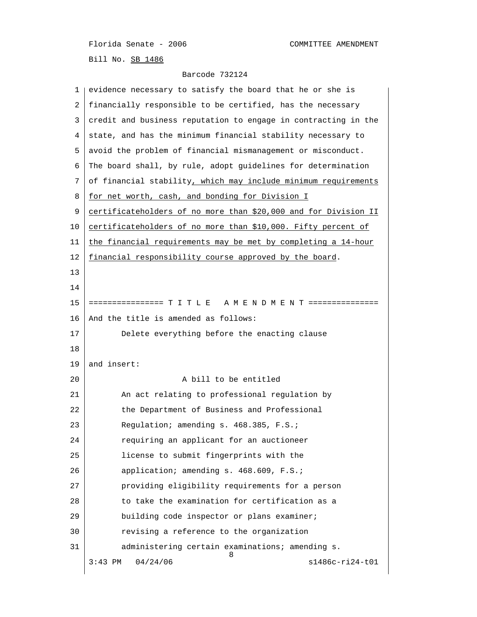Bill No. SB 1486

| 1  | evidence necessary to satisfy the board that he or she is       |
|----|-----------------------------------------------------------------|
| 2  | financially responsible to be certified, has the necessary      |
| 3  | credit and business reputation to engage in contracting in the  |
| 4  | state, and has the minimum financial stability necessary to     |
| 5  | avoid the problem of financial mismanagement or misconduct.     |
| 6  | The board shall, by rule, adopt guidelines for determination    |
| 7  | of financial stability, which may include minimum requirements  |
| 8  | for net worth, cash, and bonding for Division I                 |
| 9  | certificateholders of no more than \$20,000 and for Division II |
| 10 | certificateholders of no more than \$10,000. Fifty percent of   |
| 11 | the financial requirements may be met by completing a 14-hour   |
| 12 | financial responsibility course approved by the board.          |
| 13 |                                                                 |
| 14 |                                                                 |
| 15 | ================ T I T L E A M E N D M E N T ===============    |
| 16 | And the title is amended as follows:                            |
| 17 | Delete everything before the enacting clause                    |
| 18 |                                                                 |
| 19 | and insert:                                                     |
| 20 | A bill to be entitled                                           |
| 21 | An act relating to professional regulation by                   |
| 22 | the Department of Business and Professional                     |
| 23 | Regulation; amending s. 468.385, F.S.;                          |
| 24 | requiring an applicant for an auctioneer                        |
| 25 | license to submit fingerprints with the                         |
| 26 | application; amending s. 468.609, F.S.;                         |
| 27 | providing eligibility requirements for a person                 |
| 28 | to take the examination for certification as a                  |
| 29 | building code inspector or plans examiner;                      |
| 30 | revising a reference to the organization                        |
| 31 | administering certain examinations; amending s.<br>8            |
|    | 04/24/06<br>$s1486c-ri24-t01$<br>$3:43$ PM                      |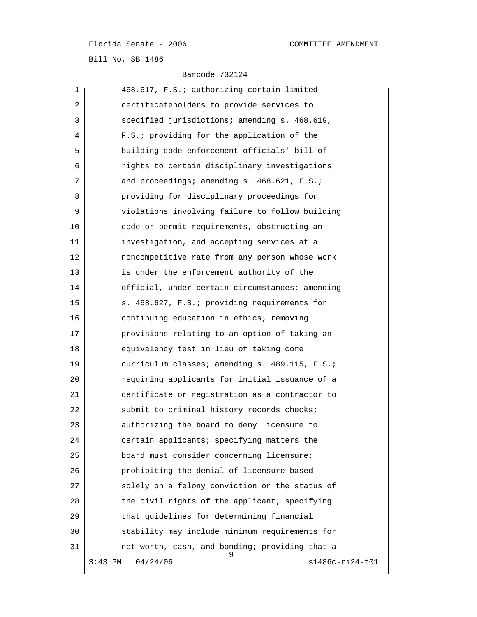| 1  | 468.617, F.S.; authorizing certain limited          |
|----|-----------------------------------------------------|
| 2  | certificateholders to provide services to           |
| 3  | specified jurisdictions; amending s. 468.619,       |
| 4  | F.S.: providing for the application of the          |
| 5  | building code enforcement officials' bill of        |
| 6  | rights to certain disciplinary investigations       |
| 7  | and proceedings; amending s. 468.621, F.S.;         |
| 8  | providing for disciplinary proceedings for          |
| 9  | violations involving failure to follow building     |
| 10 | code or permit requirements, obstructing an         |
| 11 | investigation, and accepting services at a          |
| 12 | noncompetitive rate from any person whose work      |
| 13 | is under the enforcement authority of the           |
| 14 | official, under certain circumstances; amending     |
| 15 | s. 468.627, F.S.; providing requirements for        |
| 16 | continuing education in ethics; removing            |
| 17 | provisions relating to an option of taking an       |
| 18 | equivalency test in lieu of taking core             |
| 19 | curriculum classes; amending s. 489.115, F.S.;      |
| 20 | requiring applicants for initial issuance of a      |
| 21 | certificate or registration as a contractor to      |
| 22 | submit to criminal history records checks;          |
| 23 | authorizing the board to deny licensure to          |
| 24 | certain applicants; specifying matters the          |
| 25 | board must consider concerning licensure;           |
| 26 | prohibiting the denial of licensure based           |
| 27 | solely on a felony conviction or the status of      |
| 28 | the civil rights of the applicant; specifying       |
| 29 | that guidelines for determining financial           |
| 30 | stability may include minimum requirements for      |
| 31 | net worth, cash, and bonding; providing that a<br>9 |
|    | s1486c-ri24-t01<br>04/24/06<br>3:43 PM              |
|    |                                                     |